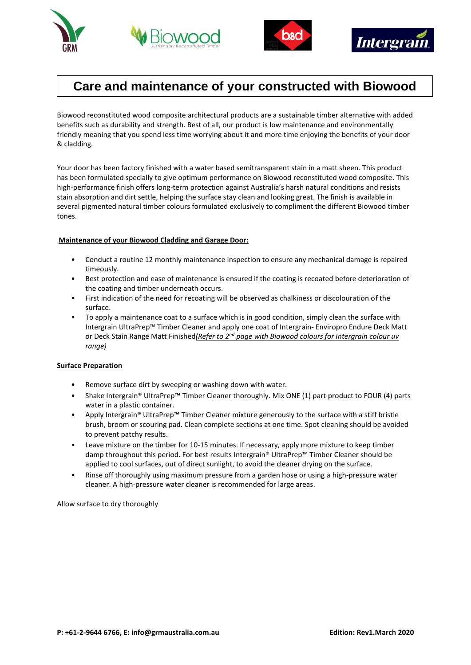





# **Care and maintenance of your constructed with Biowood**

Biowood reconstituted wood composite architectural products are a sustainable timber alternative with added benefits such as durability and strength. Best of all, our product is low maintenance and environmentally friendly meaning that you spend less time worrying about it and more time enjoying the benefits of your door & cladding.

Your door has been factory finished with a water based semitransparent stain in a matt sheen. This product has been formulated specially to give optimum performance on Biowood reconstituted wood composite. This high-performance finish offers long-term protection against Australia's harsh natural conditions and resists stain absorption and dirt settle, helping the surface stay clean and looking great. The finish is available in several pigmented natural timber colours formulated exclusively to compliment the different Biowood timber tones.

# **Maintenance of your Biowood Cladding and Garage Door:**

- Conduct a routine 12 monthly maintenance inspection to ensure any mechanical damage is repaired timeously.
- Best protection and ease of maintenance is ensured if the coating is recoated before deterioration of the coating and timber underneath occurs.
- First indication of the need for recoating will be observed as chalkiness or discolouration of the surface.
- To apply a maintenance coat to a surface which is in good condition, simply clean the surface with Intergrain UltraPrep™ Timber Cleaner and apply one coat of Intergrain- Enviropro Endure Deck Matt or Deck Stain Range Matt Finished*(Refer to 2nd page with Biowood colours for Intergrain colour uv range)*

## **Surface Preparation**

- Remove surface dirt by sweeping or washing down with water.
- Shake Intergrain® UltraPrep™ Timber Cleaner thoroughly. Mix ONE (1) part product to FOUR (4) parts water in a plastic container.
- Apply Intergrain® UltraPrep™ Timber Cleaner mixture generously to the surface with a stiff bristle brush, broom or scouring pad. Clean complete sections at one time. Spot cleaning should be avoided to prevent patchy results.
- Leave mixture on the timber for 10-15 minutes. If necessary, apply more mixture to keep timber damp throughout this period. For best results Intergrain® UltraPrep™ Timber Cleaner should be applied to cool surfaces, out of direct sunlight, to avoid the cleaner drying on the surface.
- Rinse off thoroughly using maximum pressure from a garden hose or using a high-pressure water cleaner. A high-pressure water cleaner is recommended for large areas.

Allow surface to dry thoroughly